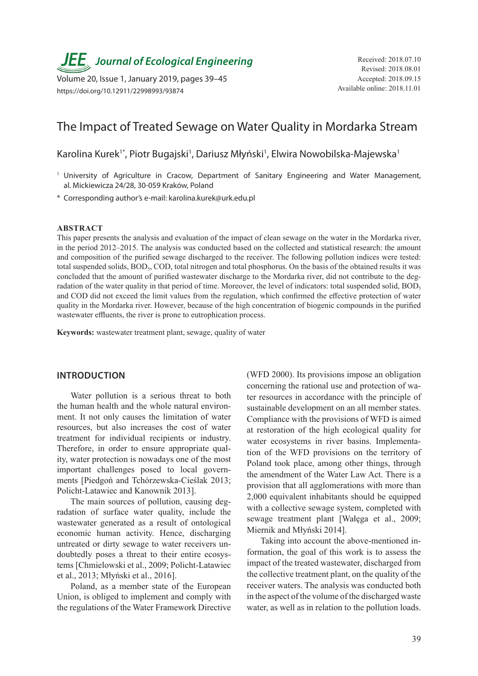

Volume 20, Issue 1, January 2019, pages 39–45 https://doi.org/10.12911/22998993/93874

# The Impact of Treated Sewage on Water Quality in Mordarka Stream

Karolina Kurek<sup>1\*</sup>, Piotr Bugajski<sup>1</sup>, Dariusz Młyński<sup>1</sup>, Elwira Nowobilska-Majewska<sup>1</sup>

<sup>1</sup> University of Agriculture in Cracow, Department of Sanitary Engineering and Water Management, al. Mickiewicza 24/28, 30-059 Kraków, Poland

\* Corresponding author's e-mail: karolina.kurek@urk.edu.pl

#### **ABSTRACT**

This paper presents the analysis and evaluation of the impact of clean sewage on the water in the Mordarka river, in the period 2012–2015. The analysis was conducted based on the collected and statistical research: the amount and composition of the purified sewage discharged to the receiver. The following pollution indices were tested: total suspended solids, BOD<sub>5</sub>, COD, total nitrogen and total phosphorus. On the basis of the obtained results it was concluded that the amount of purified wastewater discharge to the Mordarka river, did not contribute to the degradation of the water quality in that period of time. Moreover, the level of indicators: total suspended solid,  $BOD<sub>5</sub>$ and COD did not exceed the limit values from the regulation, which confirmed the effective protection of water quality in the Mordarka river. However, because of the high concentration of biogenic compounds in the purified wastewater effluents, the river is prone to eutrophication process.

**Keywords:** wastewater treatment plant, sewage, quality of water

### **INTRODUCTION**

Water pollution is a serious threat to both the human health and the whole natural environment. It not only causes the limitation of water resources, but also increases the cost of water treatment for individual recipients or industry. Therefore, in order to ensure appropriate quality, water protection is nowadays one of the most important challenges posed to local governments [Piedgoń and Tchórzewska-Cieślak 2013; Policht-Latawiec and Kanownik 2013].

The main sources of pollution, causing degradation of surface water quality, include the wastewater generated as a result of ontological economic human activity. Hence, discharging untreated or dirty sewage to water receivers undoubtedly poses a threat to their entire ecosystems [Chmielowski et al., 2009; Policht-Latawiec et al., 2013; Młyński et al., 2016].

Poland, as a member state of the European Union, is obliged to implement and comply with the regulations of the Water Framework Directive (WFD 2000). Its provisions impose an obligation concerning the rational use and protection of water resources in accordance with the principle of sustainable development on an all member states. Compliance with the provisions of WFD is aimed at restoration of the high ecological quality for water ecosystems in river basins. Implementation of the WFD provisions on the territory of Poland took place, among other things, through the amendment of the Water Law Act. There is a provision that all agglomerations with more than 2,000 equivalent inhabitants should be equipped with a collective sewage system, completed with sewage treatment plant [Wałęga et al., 2009; Miernik and Młyński 2014].

Taking into account the above-mentioned information, the goal of this work is to assess the impact of the treated wastewater, discharged from the collective treatment plant, on the quality of the receiver waters. The analysis was conducted both in the aspect of the volume of the discharged waste water, as well as in relation to the pollution loads.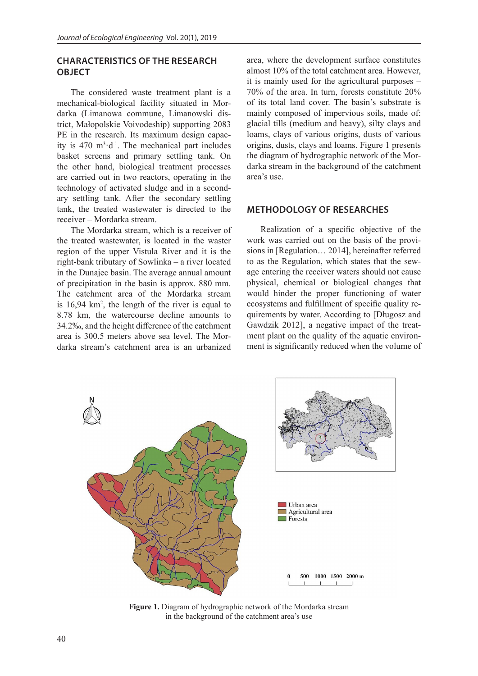## **CHARACTERISTICS OF THE RESEARCH OBJECT**

The considered waste treatment plant is a mechanical-biological facility situated in Mordarka (Limanowa commune, Limanowski district, Małopolskie Voivodeship) supporting 2083 PE in the research. Its maximum design capacity is  $470 \text{ m}^3 \cdot d^{-1}$ . The mechanical part includes basket screens and primary settling tank. On the other hand, biological treatment processes are carried out in two reactors, operating in the technology of activated sludge and in a secondary settling tank. After the secondary settling tank, the treated wastewater is directed to the receiver – Mordarka stream.

The Mordarka stream, which is a receiver of the treated wastewater, is located in the waster region of the upper Vistula River and it is the right-bank tributary of Sowlinka – a river located in the Dunajec basin. The average annual amount of precipitation in the basin is approx. 880 mm. The catchment area of the Mordarka stream is 16,94 km<sup>2</sup>, the length of the river is equal to 8.78 km, the watercourse decline amounts to 34.2‰, and the height difference of the catchment area is 300.5 meters above sea level. The Mordarka stream's catchment area is an urbanized

area, where the development surface constitutes almost 10% of the total catchment area. However, it is mainly used for the agricultural purposes – 70% of the area. In turn, forests constitute 20% of its total land cover. The basin's substrate is mainly composed of impervious soils, made of: glacial tills (medium and heavy), silty clays and loams, clays of various origins, dusts of various origins, dusts, clays and loams. Figure 1 presents the diagram of hydrographic network of the Mordarka stream in the background of the catchment area's use.

## **METHODOLOGY OF RESEARCHES**

Realization of a specific objective of the work was carried out on the basis of the provisions in [Regulation… 2014], hereinafter referred to as the Regulation, which states that the sewage entering the receiver waters should not cause physical, chemical or biological changes that would hinder the proper functioning of water ecosystems and fulfillment of specific quality requirements by water. According to [Długosz and Gawdzik 2012], a negative impact of the treatment plant on the quality of the aquatic environment is significantly reduced when the volume of



**Figure 1.** Diagram of hydrographic network of the Mordarka stream in the background of the catchment area's use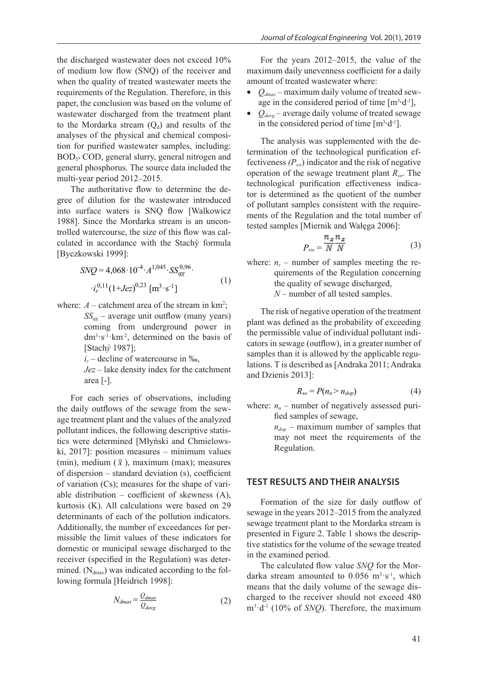the discharged wastewater does not exceed 10% of medium low flow (SNQ) of the receiver and when the quality of treated wastewater meets the requirements of the Regulation. Therefore, in this paper, the conclusion was based on the volume of wastewater discharged from the treatment plant to the Mordarka stream  $(Q_d)$  and results of the analyses of the physical and chemical composition for purified wastewater samples, including: BOD<sub>5</sub>, COD, general slurry, general nitrogen and general phosphorus. The source data included the multi-year period 2012–2015.

The authoritative flow to determine the degree of dilution for the wastewater introduced into surface waters is SNQ flow [Walkowicz 1988]. Since the Mordarka stream is an uncontrolled watercourse, the size of this flow was calculated in accordance with the Stachỳ formula [Byczkowski 1999]:

$$
SNQ = 4,068 \cdot 10^{-4} \cdot A^{1,045} \cdot SS_{qg}^{0,96} \cdot i_r^{0,11} (1+Jez)^{0,23} \text{ [m}^3 \cdot \text{s}^{-1} \text{]}
$$
 (1)

where:  $A$  – catchment area of the stream in  $km^2$ ;  $SS_{gg}$  – average unit outflow (many years) coming from underground power in  $dm<sup>3</sup>·s<sup>-1</sup>·km<sup>-2</sup>$ , determined on the basis of [Stach*ỳ* 1987];

 $i_r$  – decline of watercourse in ‰,

*Jez* – lake density index for the catchment area [-].

For each series of observations, including the daily outflows of the sewage from the sewage treatment plant and the values of the analyzed pollutant indices, the following descriptive statistics were determined [Młyński and Chmielowski, 2017]: position measures – minimum values (min), medium  $(\bar{x})$ , maximum (max); measures of dispersion – standard deviation (s), coefficient of variation (Cs); measures for the shape of variable distribution – coefficient of skewness (A), kurtosis (K). All calculations were based on 29 determinants of each of the pollution indicators. Additionally, the number of exceedances for permissible the limit values of these indicators for domestic or municipal sewage discharged to the receiver (specified in the Regulation) was determined.  $(N_{dmax})$  was indicated according to the following formula [Heidrich 1998]:

$$
N_{dmax} = \frac{Q_{dmax}}{Q_{davg}}
$$
 (2)

For the years 2012–2015, the value of the maximum daily unevenness coefficient for a daily amount of treated wastewater where:

- $Q_{dmax}$  maximum daily volume of treated sewage in the considered period of time  $[m^3 \cdot d^{-1}]$ ,
- $Q_{dayg}$  average daily volume of treated sewage in the considered period of time  $[m^3 \cdot d^{-1}]$ .

The analysis was supplemented with the determination of the technological purification effectiveness  $(P_{sw})$  indicator and the risk of negative operation of the sewage treatment plant *Rso*. The technological purification effectiveness indicator is determined as the quotient of the number of pollutant samples consistent with the requirements of the Regulation and the total number of tested samples [Miernik and Wałęga 2006]:

$$
P_{sw} = \frac{n_z n_z}{N N}
$$
 (3)

where:  $n_z$  – number of samples meeting the re-<br>quirements of the Regulation concerning quirements of the Regulation concerning the quality of sewage discharged, *N* – number of all tested samples.

The risk of negative operation of the treatment plant was defined as the probability of exceeding the permissible value of individual pollutant indicators in sewage (outflow), in a greater number of samples than it is allowed by the applicable regulations. T is described as [Andraka 2011; Andraka and Dzienis 2013]:

$$
R_{so} = P(n_n > n_{dop})
$$
 (4)

where:  $n_n$  – number of negatively assessed purified samples of sewage,

> $n_{don}$  – maximum number of samples that may not meet the requirements of the Regulation.

### **TEST RESULTS AND THEIR ANALYSIS**

Formation of the size for daily outflow of sewage in the years 2012–2015 from the analyzed sewage treatment plant to the Mordarka stream is presented in Figure 2. Table 1 shows the descriptive statistics for the volume of the sewage treated in the examined period.

The calculated flow value *SNQ* for the Mordarka stream amounted to  $0.056 \text{ m}^3 \text{·s}^{-1}$ , which means that the daily volume of the sewage discharged to the receiver should not exceed 480 m3 ·d-1 (10% of *SNQ*). Therefore, the maximum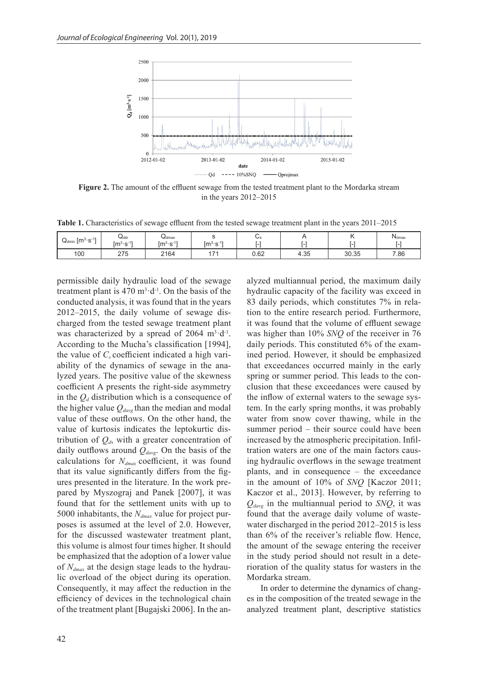

**Figure 2.** The amount of the effluent sewage from the tested treatment plant to the Mordarka stream in the years 2012–2015

**Table 1.** Characteristics of sewage effluent from the tested sewage treatment plant in the years 2011–2015

| $\int$ [m <sup>3</sup> ·s <sup>-1</sup><br>⊶dmin | ⊍dśr<br>$\overline{a}$<br>$\mathsf{[m^3{\cdot}s^{\text{-}1}]}$ | ⊶dmax<br>$[{\rm m}^{3} \cdot {\rm s}^{-1}]$ | $\sim$<br>$\mathsf{Im}3.\mathsf{e}\text{-}1'$<br>.<br>- 0 | $\mathsf{\omega}_\mathsf{s}$ |      |       | <b>N</b> <sub>dmax</sub> |
|--------------------------------------------------|----------------------------------------------------------------|---------------------------------------------|-----------------------------------------------------------|------------------------------|------|-------|--------------------------|
| 100                                              | つフド<br>ں ہے                                                    | 2164                                        | $\overline{\phantom{a}}$                                  | 0.62                         | 4.35 | 30.35 | 7.86                     |

permissible daily hydraulic load of the sewage treatment plant is  $470 \text{ m}^3 \cdot d^{-1}$ . On the basis of the conducted analysis, it was found that in the years 2012–2015, the daily volume of sewage discharged from the tested sewage treatment plant was characterized by a spread of  $2064 \text{ m}^3 \cdot d^{-1}$ . According to the Mucha's classification [1994], the value of  $C_s$  coefficient indicated a high variability of the dynamics of sewage in the analyzed years. The positive value of the skewness coefficient A presents the right-side asymmetry in the  $Q_d$  distribution which is a consequence of the higher value  $Q_{\text{dayg}}$  than the median and modal value of these outflows. On the other hand, the value of kurtosis indicates the leptokurtic distribution of  $Q_d$ , with a greater concentration of daily outflows around  $Q_{day}$ . On the basis of the calculations for  $N_{dmax}$  coefficient, it was found that its value significantly differs from the figures presented in the literature. In the work prepared by Myszograj and Panek [2007], it was found that for the settlement units with up to 5000 inhabitants, the *Ndmax* value for project purposes is assumed at the level of 2.0. However, for the discussed wastewater treatment plant, this volume is almost four times higher. It should be emphasized that the adoption of a lower value of *Ndmax* at the design stage leads to the hydraulic overload of the object during its operation. Consequently, it may affect the reduction in the efficiency of devices in the technological chain of the treatment plant [Bugajski 2006]. In the analyzed multiannual period, the maximum daily hydraulic capacity of the facility was exceed in 83 daily periods, which constitutes 7% in relation to the entire research period. Furthermore, it was found that the volume of effluent sewage was higher than 10% *SNQ* of the receiver in 76 daily periods. This constituted 6% of the examined period. However, it should be emphasized that exceedances occurred mainly in the early spring or summer period. This leads to the conclusion that these exceedances were caused by the inflow of external waters to the sewage system. In the early spring months, it was probably water from snow cover thawing, while in the summer period – their source could have been increased by the atmospheric precipitation. Infiltration waters are one of the main factors causing hydraulic overflows in the sewage treatment plants, and in consequence – the exceedance in the amount of 10% of *SNQ* [Kaczor 2011; Kaczor et al., 2013]. However, by referring to  $Q_{dayg}$  in the multiannual period to *SNQ*, it was found that the average daily volume of wastewater discharged in the period 2012–2015 is less than 6% of the receiver's reliable flow. Hence, the amount of the sewage entering the receiver in the study period should not result in a deterioration of the quality status for wasters in the Mordarka stream.

In order to determine the dynamics of changes in the composition of the treated sewage in the analyzed treatment plant, descriptive statistics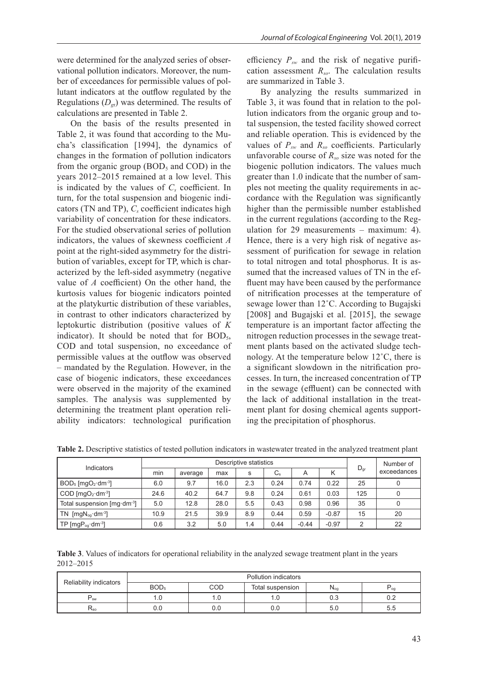were determined for the analyzed series of observational pollution indicators. Moreover, the number of exceedances for permissible values of pollutant indicators at the outflow regulated by the Regulations  $(D_{\sigma r})$  was determined. The results of calculations are presented in Table 2.

On the basis of the results presented in Table 2, it was found that according to the Mucha's classification [1994], the dynamics of changes in the formation of pollution indicators from the organic group  $(BOD<sub>5</sub>$  and COD) in the years 2012–2015 remained at a low level. This is indicated by the values of  $C_s$  coefficient. In turn, for the total suspension and biogenic indicators (TN and TP),  $C_s$  coefficient indicates high variability of concentration for these indicators. For the studied observational series of pollution indicators, the values of skewness coefficient *A*  point at the right-sided asymmetry for the distribution of variables, except for TP, which is characterized by the left-sided asymmetry (negative value of *A* coefficient) On the other hand, the kurtosis values for biogenic indicators pointed at the platykurtic distribution of these variables, in contrast to other indicators characterized by leptokurtic distribution (positive values of *K* indicator). It should be noted that for  $BOD<sub>5</sub>$ , COD and total suspension, no exceedance of permissible values at the outflow was observed – mandated by the Regulation. However, in the case of biogenic indicators, these exceedances were observed in the majority of the examined samples. The analysis was supplemented by determining the treatment plant operation reliability indicators: technological purification

efficiency  $P_{sw}$  and the risk of negative purification assessment *Rso*. The calculation results are summarized in Table 3.

By analyzing the results summarized in Table 3, it was found that in relation to the pollution indicators from the organic group and total suspension, the tested facility showed correct and reliable operation. This is evidenced by the values of  $P_{sw}$  and  $R_{so}$  coefficients. Particularly unfavorable course of  $R_{so}$  size was noted for the biogenic pollution indicators. The values much greater than 1.0 indicate that the number of samples not meeting the quality requirements in accordance with the Regulation was significantly higher than the permissible number established in the current regulations (according to the Regulation for 29 measurements – maximum: 4). Hence, there is a very high risk of negative assessment of purification for sewage in relation to total nitrogen and total phosphorus. It is assumed that the increased values of TN in the effluent may have been caused by the performance of nitrification processes at the temperature of sewage lower than 12˚C. According to Bugajski [2008] and Bugajski et al. [2015], the sewage temperature is an important factor affecting the nitrogen reduction processes in the sewage treatment plants based on the activated sludge technology. At the temperature below 12˚C, there is a significant slowdown in the nitrification processes. In turn, the increased concentration of TP in the sewage (effluent) can be connected with the lack of additional installation in the treatment plant for dosing chemical agents supporting the precipitation of phosphorus.

| Indicators                                   | Descriptive statistics |         |      |     |             |         |         | Number of       |             |
|----------------------------------------------|------------------------|---------|------|-----|-------------|---------|---------|-----------------|-------------|
|                                              | min                    | average | max  | s   | $C_{\rm s}$ | А       |         | $D_{\text{gr}}$ | exceedances |
| $BOD5$ [mgO <sub>2</sub> ·dm <sup>-3</sup> ] | 6.0                    | 9.7     | 16.0 | 2.3 | 0.24        | 0.74    | 0.22    | 25              | 0           |
| $COD$ [mgO <sub>2</sub> ·dm <sup>-3</sup> ]  | 24.6                   | 40.2    | 64.7 | 9.8 | 0.24        | 0.61    | 0.03    | 125             | 0           |
| Total suspension [mg·dm <sup>-3</sup> ]      | 5.0                    | 12.8    | 28.0 | 5.5 | 0.43        | 0.98    | 0.96    | 35              | 0           |
| $TN$ [mg $N_{\text{og}}$ dm <sup>-3</sup> ]  | 10.9                   | 21.5    | 39.9 | 8.9 | 0.44        | 0.59    | $-0.87$ | 15              | 20          |
| TP [ $mgP_{og}$ ·dm <sup>-3</sup> ]          | 0.6                    | 3.2     | 5.0  | 1.4 | 0.44        | $-0.44$ | $-0.97$ | ◠               | 22          |

**Table 2.** Descriptive statistics of tested pollution indicators in wastewater treated in the analyzed treatment plant

**Table 3**. Values of indicators for operational reliability in the analyzed sewage treatment plant in the years 2012–2015

| Reliability indicators | Pollution indicators |     |                  |                                      |     |  |  |  |
|------------------------|----------------------|-----|------------------|--------------------------------------|-----|--|--|--|
|                        | BOD <sub>5</sub>     | COD | Total suspension | $\mathsf{IV}_{\mathsf{o}\mathsf{g}}$ | റപ  |  |  |  |
| <b>SW</b>              |                      | ، ب | ı.u              | 0.3                                  | ◡.← |  |  |  |
| $N_{SO}$               | U.U                  | 0.C | 0.0              | 5.U                                  | 5.5 |  |  |  |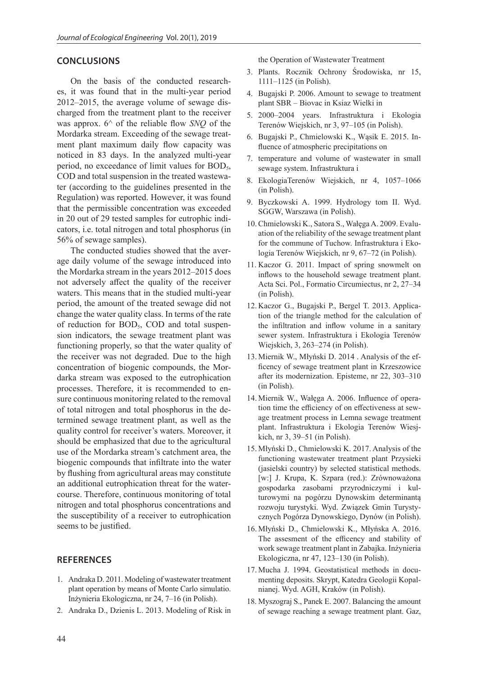### **CONCLUSIONS**

On the basis of the conducted researches, it was found that in the multi-year period 2012–2015, the average volume of sewage discharged from the treatment plant to the receiver was approx. 6^ of the reliable flow *SNQ* of the Mordarka stream. Exceeding of the sewage treatment plant maximum daily flow capacity was noticed in 83 days. In the analyzed multi-year period, no exceedance of limit values for BOD<sub>5</sub>, COD and total suspension in the treated wastewater (according to the guidelines presented in the Regulation) was reported. However, it was found that the permissible concentration was exceeded in 20 out of 29 tested samples for eutrophic indicators, i.e. total nitrogen and total phosphorus (in 56% of sewage samples).

The conducted studies showed that the average daily volume of the sewage introduced into the Mordarka stream in the years 2012–2015 does not adversely affect the quality of the receiver waters. This means that in the studied multi-year period, the amount of the treated sewage did not change the water quality class. In terms of the rate of reduction for BOD<sub>5</sub>, COD and total suspension indicators, the sewage treatment plant was functioning properly, so that the water quality of the receiver was not degraded. Due to the high concentration of biogenic compounds, the Mordarka stream was exposed to the eutrophication processes. Therefore, it is recommended to ensure continuous monitoring related to the removal of total nitrogen and total phosphorus in the determined sewage treatment plant, as well as the quality control for receiver's waters. Moreover, it should be emphasized that due to the agricultural use of the Mordarka stream's catchment area, the biogenic compounds that infiltrate into the water by flushing from agricultural areas may constitute an additional eutrophication threat for the watercourse. Therefore, continuous monitoring of total nitrogen and total phosphorus concentrations and the susceptibility of a receiver to eutrophication seems to be justified.

#### **REFERENCES**

- 1. Andraka D. 2011. Modeling of wastewater treatment plant operation by means of Monte Carlo simulatio. Inżynieria Ekologiczna, nr 24, 7–16 (in Polish).
- 2. Andraka D., Dzienis L. 2013. Modeling of Risk in

the Operation of Wastewater Treatment

- 3. Plants. Rocznik Ochrony Środowiska, nr 15, 1111–1125 (in Polish).
- 4. Bugajski P. 2006. Amount to sewage to treatment plant SBR – Biovac in Ksiaz Wielki in
- 5. 2000–2004 years. Infrastruktura i Ekologia Terenów Wiejskich, nr 3, 97–105 (in Polish).
- 6. Bugajski P., Chmielowski K., Wąsik E. 2015. Influence of atmospheric precipitations on
- 7. temperature and volume of wastewater in small sewage system. Infrastruktura i
- 8. EkologiaTerenów Wiejskich, nr 4, 1057–1066 (in Polish).
- 9. Byczkowski A. 1999. Hydrology tom II. Wyd. SGGW, Warszawa (in Polish).
- 10. Chmielowski K., Satora S., Wałęga A. 2009. Evaluation of the reliability of the sewage treatment plant for the commune of Tuchow. Infrastruktura i Ekologia Terenów Wiejskich, nr 9, 67–72 (in Polish).
- 11. Kaczor G. 2011. Impact of spring snowmelt on inflows to the household sewage treatment plant. Acta Sci. Pol., Formatio Circumiectus, nr 2, 27–34 (in Polish).
- 12. Kaczor G., Bugajski P., Bergel T. 2013. Application of the triangle method for the calculation of the infiltration and inflow volume in a sanitary sewer system. Infrastruktura i Ekologia Terenów Wiejskich, 3, 263–274 (in Polish).
- 13. Miernik W., Młyński D. 2014 . Analysis of the efficency of sewage treatment plant in Krzeszowice after its modernization. Episteme, nr 22, 303–310 (in Polish).
- 14. Miernik W., Wałęga A. 2006. Influence of operation time the efficiency of on effectiveness at sewage treatment process in Lemna sewage treatment plant. Infrastruktura i Ekologia Terenów Wiesjkich, nr 3, 39–51 (in Polish).
- 15. Młyński D., Chmielowski K. 2017. Analysis of the functioning wastewater treatment plant Przysieki (jasielski country) by selected statistical methods. [w:] J. Krupa, K. Szpara (red.): Zrównoważona gospodarka zasobami przyrodniczymi i kulturowymi na pogórzu Dynowskim determinantą rozwoju turystyki. Wyd. Związek Gmin Turystycznych Pogórza Dynowskiego, Dynów (in Polish).
- 16. Młyński D., Chmielowski K., Młyńska A. 2016. The assesment of the efficency and stability of work sewage treatment plant in Zabajka. Inżynieria Ekologiczna, nr 47, 123–130 (in Polish).
- 17. Mucha J. 1994. Geostatistical methods in documenting deposits. Skrypt, Katedra Geologii Kopalnianej. Wyd. AGH, Kraków (in Polish).
- 18. Myszograj S., Panek E. 2007. Balancing the amount of sewage reaching a sewage treatment plant. Gaz,